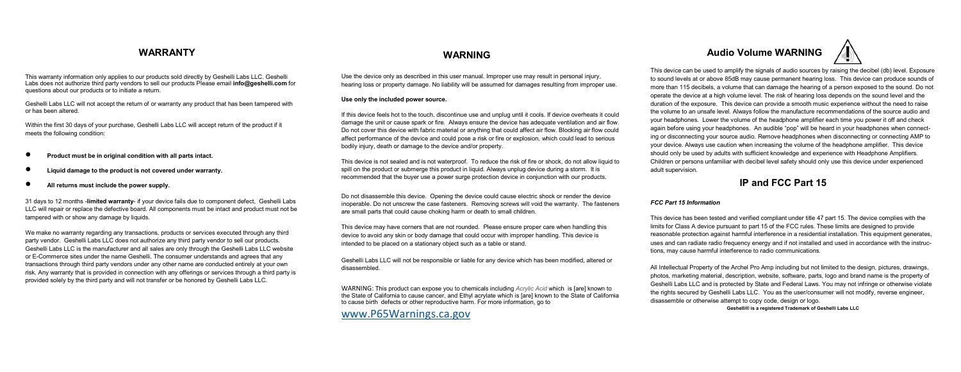This warranty information only applies to our products sold directly by Geshelli Labs LLC. Geshelli Labs does not authorize third party vendors to sell our products Please email **info@geshelli.com** for questions about our products or to initiate a return.

Geshelli Labs LLC will not accept the return of or warranty any product that has been tampered with or has been altered.

Within the first 30 days of your purchase, Geshelli Labs LLC will accept return of the product if it meets the following condition:

- **Product must be in original condition with all parts intact.**
- **Liquid damage to the product is not covered under warranty.**
- **All returns must include the power supply.**

31 days to 12 months -**limited warranty**- if your device fails due to component defect, Geshelli Labs LLC will repair or replace the defective board. All components must be intact and product must not be tampered with or show any damage by liquids.

We make no warranty regarding any transactions, products or services executed through any third party vendor. Geshelli Labs LLC does not authorize any third party vendor to sell our products. Geshelli Labs LLC is the manufacturer and all sales are only through the Geshelli Labs LLC website or E-Commerce sites under the name Geshelli. The consumer understands and agrees that any transactions through third party vendors under any other name are conducted entirely at your own risk. Any warranty that is provided in connection with any offerings or services through a third party is provided solely by the third party and will not transfer or be honored by Geshelli Labs LLC.

Use the device only as described in this user manual. Improper use may result in personal injury, hearing loss or property damage. No liability will be assumed for damages resulting from improper use.

#### **Use only the included power source.**

If this device feels hot to the touch, discontinue use and unplug until it cools. If device overheats it could damage the unit or cause spark or fire. Always ensure the device has adequate ventilation and air flow. Do not cover this device with fabric material or anything that could affect air flow. Blocking air flow could affect performance of the device and could pose a risk or fire or explosion, which could lead to serious bodily injury, death or damage to the device and/or property.

This device is not sealed and is not waterproof. To reduce the risk of fire or shock, do not allow liquid to spill on the product or submerge this product in liquid. Always unplug device during a storm. It is recommended that the buyer use a power surge protection device in conjunction with our products.

Do not disassemble this device. Opening the device could cause electric shock or render the device inoperable. Do not unscrew the case fasteners. Removing screws will void the warranty. The fasteners are small parts that could cause choking harm or death to small children.

This device may have corners that are not rounded. Please ensure proper care when handling this device to avoid any skin or body damage that could occur with improper handling. This device is intended to be placed on a stationary object such as a table or stand.

Geshelli Labs LLC will not be responsible or liable for any device which has been modified, altered or disassembled.

WARNING: This product can expose you to chemicals including *Acrylic Acid* which is [are] known to the State of California to cause cancer, and Ethyl acrylate which is [are] known to the State of California to cause birth defects or other reproductive harm. For more information, go to

[www.P65Warnings.ca.gov](http://www.p65warnings.ca.gov/)

# **WARRANTY WARNING Audio Volume WARNING**

This device can be used to amplify the signals of audio sources by raising the decibel (db) level. Exposure to sound levels at or above 85dB may cause permanent hearing loss. This device can produce sounds of more than 115 decibels, a volume that can damage the hearing of a person exposed to the sound. Do not operate the device at a high volume level. The risk of hearing loss depends on the sound level and the duration of the exposure. This device can provide a smooth music experience without the need to raise the volume to an unsafe level. Always follow the manufacture recommendations of the source audio and your headphones. Lower the volume of the headphone amplifier each time you power it off and check again before using your headphones. An audible "pop" will be heard in your headphones when connecting or disconnecting your source audio. Remove headphones when disconnecting or connecting AMP to your device. Always use caution when increasing the volume of the headphone amplifier. This device should only be used by adults with sufficient knowledge and experience with Headphone Amplifiers. Children or persons unfamiliar with decibel level safety should only use this device under experienced adult supervision.

## **IP and FCC Part 15**

### *FCC Part 15 Information*

This device has been tested and verified compliant under title 47 part 15. The device complies with the limits for Class A device pursuant to part 15 of the FCC rules. These limits are designed to provide reasonable protection against harmful interference in a residential installation. This equipment generates, uses and can radiate radio frequency energy and if not installed and used in accordance with the instructions, may cause harmful interference to radio communications.

All Intellectual Property of the Archel Pro Amp including but not limited to the design, pictures, drawings, photos, marketing material, description, website, software, parts, logo and brand name is the property of Geshelli Labs LLC and is protected by State and Federal Laws. You may not infringe or otherwise violate the rights secured by Geshelli Labs LLC. You as the user/consumer will not modify, reverse engineer, disassemble or otherwise attempt to copy code, design or logo.

**Geshelli® is a registered Trademark of Geshelli Labs LLC**